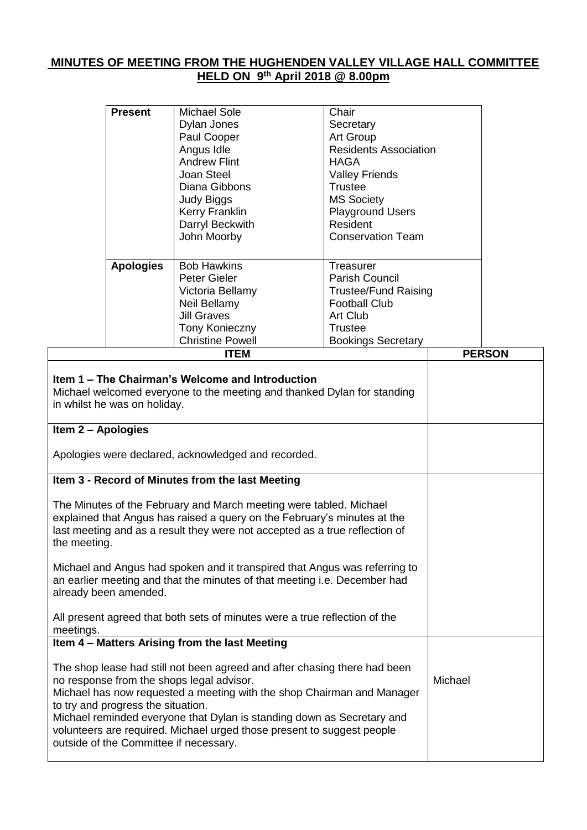## **MINUTES OF MEETING FROM THE HUGHENDEN VALLEY VILLAGE HALL COMMITTEE HELD ON 9 th April 2018 @ 8.00pm**

|                                                                                                                                                                                                                                                                                                                                                                                                                                      | <b>Present</b>   | <b>Michael Sole</b><br>Dylan Jones<br>Paul Cooper<br>Angus Idle<br><b>Andrew Flint</b><br>Joan Steel<br>Diana Gibbons<br><b>Judy Biggs</b><br>Kerry Franklin<br>Darryl Beckwith<br>John Moorby | Chair<br>Secretary<br>Art Group<br><b>Residents Association</b><br><b>HAGA</b><br><b>Valley Friends</b><br><b>Trustee</b><br><b>MS Society</b><br><b>Playground Users</b><br>Resident<br><b>Conservation Team</b> |         |               |
|--------------------------------------------------------------------------------------------------------------------------------------------------------------------------------------------------------------------------------------------------------------------------------------------------------------------------------------------------------------------------------------------------------------------------------------|------------------|------------------------------------------------------------------------------------------------------------------------------------------------------------------------------------------------|-------------------------------------------------------------------------------------------------------------------------------------------------------------------------------------------------------------------|---------|---------------|
|                                                                                                                                                                                                                                                                                                                                                                                                                                      | <b>Apologies</b> | <b>Bob Hawkins</b><br><b>Peter Gieler</b><br>Victoria Bellamy<br>Neil Bellamy<br><b>Jill Graves</b><br>Tony Konieczny<br><b>Christine Powell</b>                                               | Treasurer<br>Parish Council<br><b>Trustee/Fund Raising</b><br><b>Football Club</b><br>Art Club<br><b>Trustee</b>                                                                                                  |         |               |
|                                                                                                                                                                                                                                                                                                                                                                                                                                      |                  | <b>ITEM</b>                                                                                                                                                                                    | <b>Bookings Secretary</b>                                                                                                                                                                                         |         | <b>PERSON</b> |
| Item 1 – The Chairman's Welcome and Introduction<br>Michael welcomed everyone to the meeting and thanked Dylan for standing<br>in whilst he was on holiday.<br>Item 2 - Apologies<br>Apologies were declared, acknowledged and recorded.                                                                                                                                                                                             |                  |                                                                                                                                                                                                |                                                                                                                                                                                                                   |         |               |
| Item 3 - Record of Minutes from the last Meeting<br>The Minutes of the February and March meeting were tabled. Michael<br>explained that Angus has raised a query on the February's minutes at the<br>last meeting and as a result they were not accepted as a true reflection of<br>the meeting.<br>Michael and Angus had spoken and it transpired that Angus was referring to                                                      |                  |                                                                                                                                                                                                |                                                                                                                                                                                                                   |         |               |
| an earlier meeting and that the minutes of that meeting i.e. December had<br>already been amended.<br>All present agreed that both sets of minutes were a true reflection of the<br>meetings.                                                                                                                                                                                                                                        |                  |                                                                                                                                                                                                |                                                                                                                                                                                                                   |         |               |
|                                                                                                                                                                                                                                                                                                                                                                                                                                      |                  | Item 4 - Matters Arising from the last Meeting                                                                                                                                                 |                                                                                                                                                                                                                   |         |               |
| The shop lease had still not been agreed and after chasing there had been<br>no response from the shops legal advisor.<br>Michael has now requested a meeting with the shop Chairman and Manager<br>to try and progress the situation.<br>Michael reminded everyone that Dylan is standing down as Secretary and<br>volunteers are required. Michael urged those present to suggest people<br>outside of the Committee if necessary. |                  |                                                                                                                                                                                                |                                                                                                                                                                                                                   | Michael |               |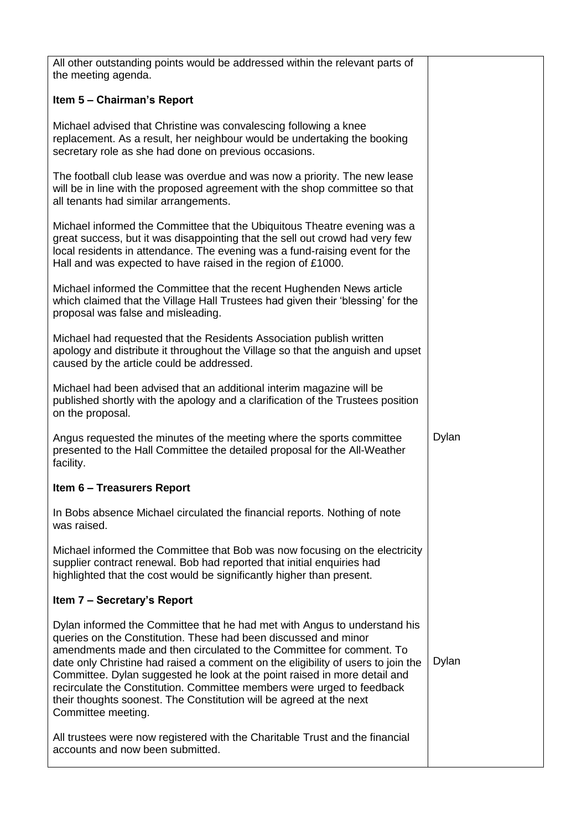| All other outstanding points would be addressed within the relevant parts of<br>the meeting agenda.                                                                                                                                                                                                                                                                                                                                                                                                                                                          |       |
|--------------------------------------------------------------------------------------------------------------------------------------------------------------------------------------------------------------------------------------------------------------------------------------------------------------------------------------------------------------------------------------------------------------------------------------------------------------------------------------------------------------------------------------------------------------|-------|
| Item 5 - Chairman's Report                                                                                                                                                                                                                                                                                                                                                                                                                                                                                                                                   |       |
| Michael advised that Christine was convalescing following a knee<br>replacement. As a result, her neighbour would be undertaking the booking<br>secretary role as she had done on previous occasions.                                                                                                                                                                                                                                                                                                                                                        |       |
| The football club lease was overdue and was now a priority. The new lease<br>will be in line with the proposed agreement with the shop committee so that<br>all tenants had similar arrangements.                                                                                                                                                                                                                                                                                                                                                            |       |
| Michael informed the Committee that the Ubiquitous Theatre evening was a<br>great success, but it was disappointing that the sell out crowd had very few<br>local residents in attendance. The evening was a fund-raising event for the<br>Hall and was expected to have raised in the region of £1000.                                                                                                                                                                                                                                                      |       |
| Michael informed the Committee that the recent Hughenden News article<br>which claimed that the Village Hall Trustees had given their 'blessing' for the<br>proposal was false and misleading.                                                                                                                                                                                                                                                                                                                                                               |       |
| Michael had requested that the Residents Association publish written<br>apology and distribute it throughout the Village so that the anguish and upset<br>caused by the article could be addressed.                                                                                                                                                                                                                                                                                                                                                          |       |
| Michael had been advised that an additional interim magazine will be<br>published shortly with the apology and a clarification of the Trustees position<br>on the proposal.                                                                                                                                                                                                                                                                                                                                                                                  |       |
| Angus requested the minutes of the meeting where the sports committee<br>presented to the Hall Committee the detailed proposal for the All-Weather<br>facility.                                                                                                                                                                                                                                                                                                                                                                                              | Dylan |
| <b>Item 6 - Treasurers Report</b>                                                                                                                                                                                                                                                                                                                                                                                                                                                                                                                            |       |
| In Bobs absence Michael circulated the financial reports. Nothing of note<br>was raised.                                                                                                                                                                                                                                                                                                                                                                                                                                                                     |       |
| Michael informed the Committee that Bob was now focusing on the electricity<br>supplier contract renewal. Bob had reported that initial enquiries had<br>highlighted that the cost would be significantly higher than present.                                                                                                                                                                                                                                                                                                                               |       |
| Item 7 – Secretary's Report                                                                                                                                                                                                                                                                                                                                                                                                                                                                                                                                  |       |
| Dylan informed the Committee that he had met with Angus to understand his<br>queries on the Constitution. These had been discussed and minor<br>amendments made and then circulated to the Committee for comment. To<br>date only Christine had raised a comment on the eligibility of users to join the<br>Committee. Dylan suggested he look at the point raised in more detail and<br>recirculate the Constitution. Committee members were urged to feedback<br>their thoughts soonest. The Constitution will be agreed at the next<br>Committee meeting. | Dylan |
| All trustees were now registered with the Charitable Trust and the financial<br>accounts and now been submitted.                                                                                                                                                                                                                                                                                                                                                                                                                                             |       |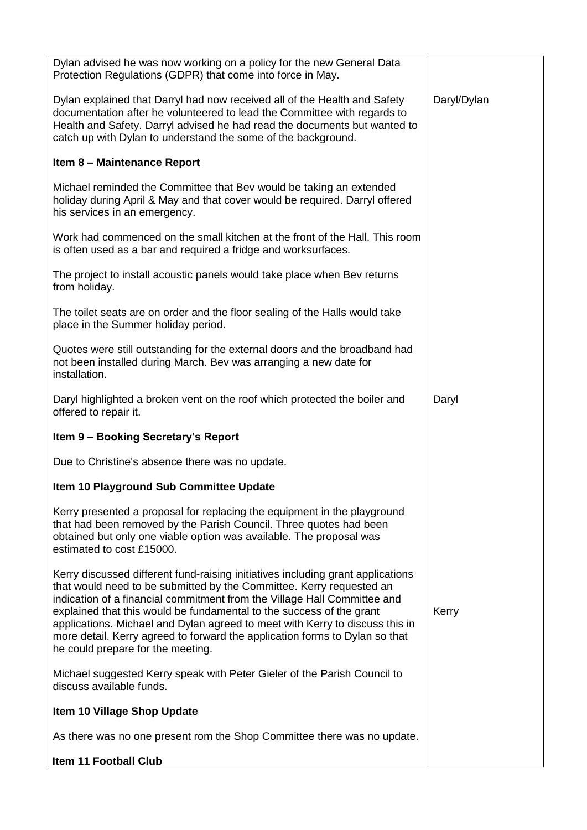| Dylan advised he was now working on a policy for the new General Data<br>Protection Regulations (GDPR) that come into force in May.                                                                                                                                                                                                                                                                                                                                                                             |             |
|-----------------------------------------------------------------------------------------------------------------------------------------------------------------------------------------------------------------------------------------------------------------------------------------------------------------------------------------------------------------------------------------------------------------------------------------------------------------------------------------------------------------|-------------|
| Dylan explained that Darryl had now received all of the Health and Safety<br>documentation after he volunteered to lead the Committee with regards to<br>Health and Safety. Darryl advised he had read the documents but wanted to<br>catch up with Dylan to understand the some of the background.                                                                                                                                                                                                             | Daryl/Dylan |
| Item 8 - Maintenance Report                                                                                                                                                                                                                                                                                                                                                                                                                                                                                     |             |
| Michael reminded the Committee that Bev would be taking an extended<br>holiday during April & May and that cover would be required. Darryl offered<br>his services in an emergency.                                                                                                                                                                                                                                                                                                                             |             |
| Work had commenced on the small kitchen at the front of the Hall. This room<br>is often used as a bar and required a fridge and worksurfaces.                                                                                                                                                                                                                                                                                                                                                                   |             |
| The project to install acoustic panels would take place when Bev returns<br>from holiday.                                                                                                                                                                                                                                                                                                                                                                                                                       |             |
| The toilet seats are on order and the floor sealing of the Halls would take<br>place in the Summer holiday period.                                                                                                                                                                                                                                                                                                                                                                                              |             |
| Quotes were still outstanding for the external doors and the broadband had<br>not been installed during March. Bev was arranging a new date for<br>installation.                                                                                                                                                                                                                                                                                                                                                |             |
| Daryl highlighted a broken vent on the roof which protected the boiler and<br>offered to repair it.                                                                                                                                                                                                                                                                                                                                                                                                             | Daryl       |
| Item 9 - Booking Secretary's Report                                                                                                                                                                                                                                                                                                                                                                                                                                                                             |             |
| Due to Christine's absence there was no update.                                                                                                                                                                                                                                                                                                                                                                                                                                                                 |             |
| Item 10 Playground Sub Committee Update                                                                                                                                                                                                                                                                                                                                                                                                                                                                         |             |
| Kerry presented a proposal for replacing the equipment in the playground<br>that had been removed by the Parish Council. Three quotes had been<br>obtained but only one viable option was available. The proposal was<br>estimated to cost £15000.                                                                                                                                                                                                                                                              |             |
| Kerry discussed different fund-raising initiatives including grant applications<br>that would need to be submitted by the Committee. Kerry requested an<br>indication of a financial commitment from the Village Hall Committee and<br>explained that this would be fundamental to the success of the grant<br>applications. Michael and Dylan agreed to meet with Kerry to discuss this in<br>more detail. Kerry agreed to forward the application forms to Dylan so that<br>he could prepare for the meeting. | Kerry       |
| Michael suggested Kerry speak with Peter Gieler of the Parish Council to<br>discuss available funds.                                                                                                                                                                                                                                                                                                                                                                                                            |             |
| Item 10 Village Shop Update                                                                                                                                                                                                                                                                                                                                                                                                                                                                                     |             |
| As there was no one present rom the Shop Committee there was no update.                                                                                                                                                                                                                                                                                                                                                                                                                                         |             |
| <b>Item 11 Football Club</b>                                                                                                                                                                                                                                                                                                                                                                                                                                                                                    |             |